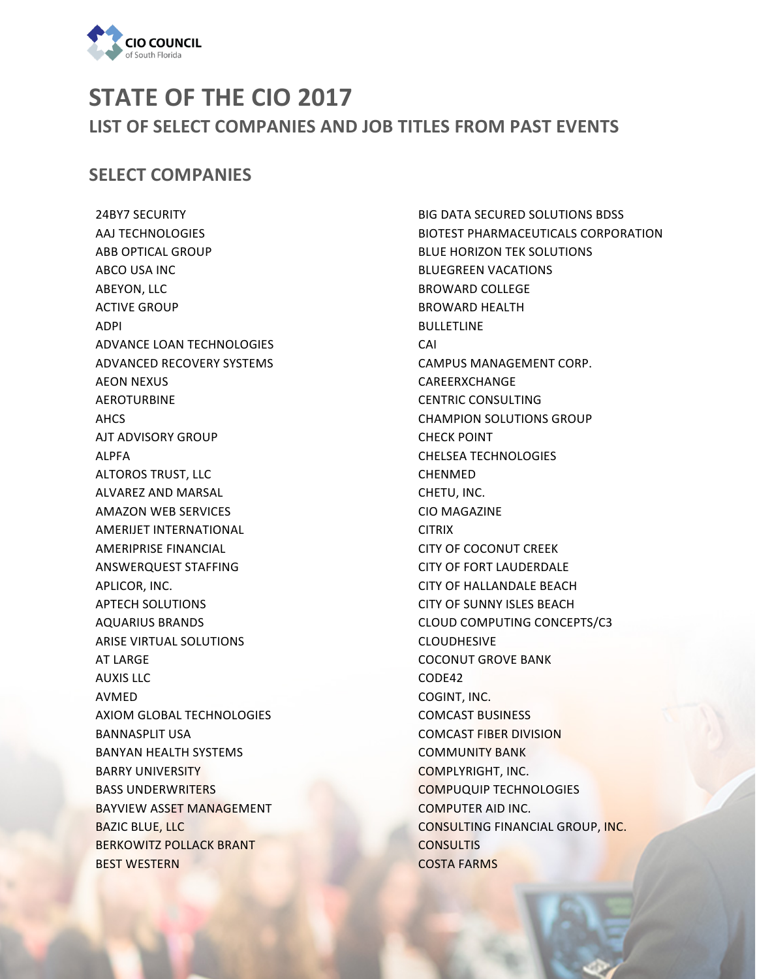

## **STATE OF THE CIO 2017** LIST OF SELECT COMPANIES AND JOB TITLES FROM PAST EVENTS

## **SELECT COMPANIES**

24BY7 SECURITY AAJ TECHNOLOGIES **ABB OPTICAL GROUP ABCO USA INC ABEYON, LLC ACTIVE GROUP** ADPI ADVANCE LOAN TECHNOLOGIES ADVANCED RECOVERY SYSTEMS **AEON NEXUS** AEROTURBINE AHCS AJT ADVISORY GROUP ALPFA **ALTOROS TRUST, LLC** ALVAREZ AND MARSAL AMAZON WEB SERVICES AMERIJET INTERNATIONAL **AMERIPRISE FINANCIAL** ANSWERQUEST STAFFING APLICOR, INC. **APTECH SOLUTIONS** AQUARIUS BRANDS **ARISE VIRTUAL SOLUTIONS AT LARGE AUXIS LLC** AVMED AXIOM GLOBAL TECHNOLOGIES **BANNASPLIT USA** BANYAN HEALTH SYSTEMS **BARRY UNIVERSITY BASS UNDERWRITERS** BAYVIEW ASSET MANAGEMENT **BAZIC BLUE, LLC BERKOWITZ POLLACK BRANT BEST WESTERN** 

**BIG DATA SECURED SOLUTIONS BDSS** BIOTEST PHARMACEUTICALS CORPORATION **BLUE HORIZON TEK SOLUTIONS** BLUEGREEN VACATIONS BROWARD COLLEGE **BROWARD HEALTH** BULLETLINE CAI CAMPUS MANAGEMENT CORP. CAREERXCHANGE **CENTRIC CONSULTING** CHAMPION SOLUTIONS GROUP CHECK POINT CHELSEA TECHNOLOGIES CHENMED CHETU, INC. CIO MAGAZINE **CITRIX** CITY OF COCONUT CREEK CITY OF FORT LAUDERDALE CITY OF HALLANDALE BEACH CITY OF SUNNY ISLES BEACH CLOUD COMPUTING CONCEPTS/C3 CLOUDHESIVE **COCONUT GROVE BANK** CODE42 COGINT, INC. COMCAST BUSINESS COMCAST FIBER DIVISION **COMMUNITY BANK** COMPLYRIGHT, INC. COMPUQUIP TECHNOLOGIES COMPUTER AID INC. CONSULTING FINANCIAL GROUP, INC. **CONSULTIS COSTA FARMS**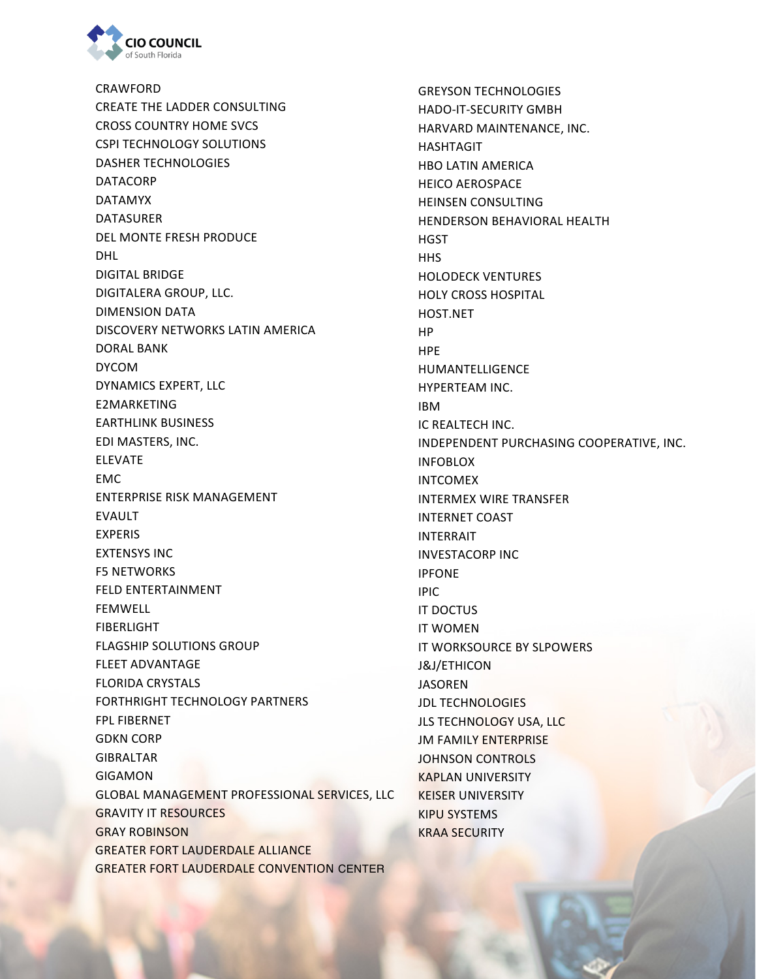

CRAWFORD CREATE THE LADDER CONSULTING CROSS COUNTRY HOME SVCS CSPI TECHNOLOGY SOLUTIONS DASHER TECHNOLOGIES DATACORP DATAMYX DATASURER DEL MONTE FRESH PRODUCE DHL DIGITAL BRIDGE DIGITALERA GROUP, LLC. DIMENSION DATA DISCOVERY NETWORKS LATIN AMERICA DORAL BANK DYCOM DYNAMICS EXPERT, LLC E2MARKETING EARTHLINK BUSINESS EDI MASTERS, INC. ELEVATE EMC ENTERPRISE RISK MANAGEMENT EVAULT EXPERIS **EXTENSYS INC F5 NETWORKS** FELD ENTERTAINMENT FEMWELL FIBERLIGHT **FLAGSHIP SOLUTIONS GROUP** FLEET ADVANTAGE FLORIDA CRYSTALS FORTHRIGHT TECHNOLOGY PARTNERS FPL FIBERNET **GDKN CORP** GIBRALTAR GIGAMON GLOBAL MANAGEMENT PROFESSIONAL SERVICES, LLC GRAVITY IT RESOURCES GRAY ROBINSON GREATER FORT LAUDERDALE ALLIANCE GREATER FORT LAUDERDALE CONVENTION CENTER

GREYSON TECHNOLOGIES HADO-IT-SECURITY GMBH HARVARD MAINTENANCE, INC. HASHTAGIT **HBO LATIN AMERICA** HEICO AEROSPACE **HEINSEN CONSULTING** HENDERSON BEHAVIORAL HEALTH **HGST HHS** HOLODECK VENTURES HOLY CROSS HOSPITAL HOST.NET HP HPE HUMANTELLIGENCE HYPERTEAM INC. IBM **IC REALTECH INC.** INDEPENDENT PURCHASING COOPERATIVE, INC. INFOBLOX INTCOMEX **INTERMEX WIRE TRANSFER INTERNET COAST** INTERRAIT INVESTACORP INC IPFONE IPIC **IT DOCTUS IT WOMEN** IT WORKSOURCE BY SLPOWERS J&J/ETHICON JASOREN **JDL TECHNOLOGIES** JLS TECHNOLOGY USA, LLC **JM FAMILY ENTERPRISE** JOHNSON CONTROLS **KAPLAN UNIVERSITY KEISER UNIVERSITY** KIPU SYSTEMS KRAA SECURITY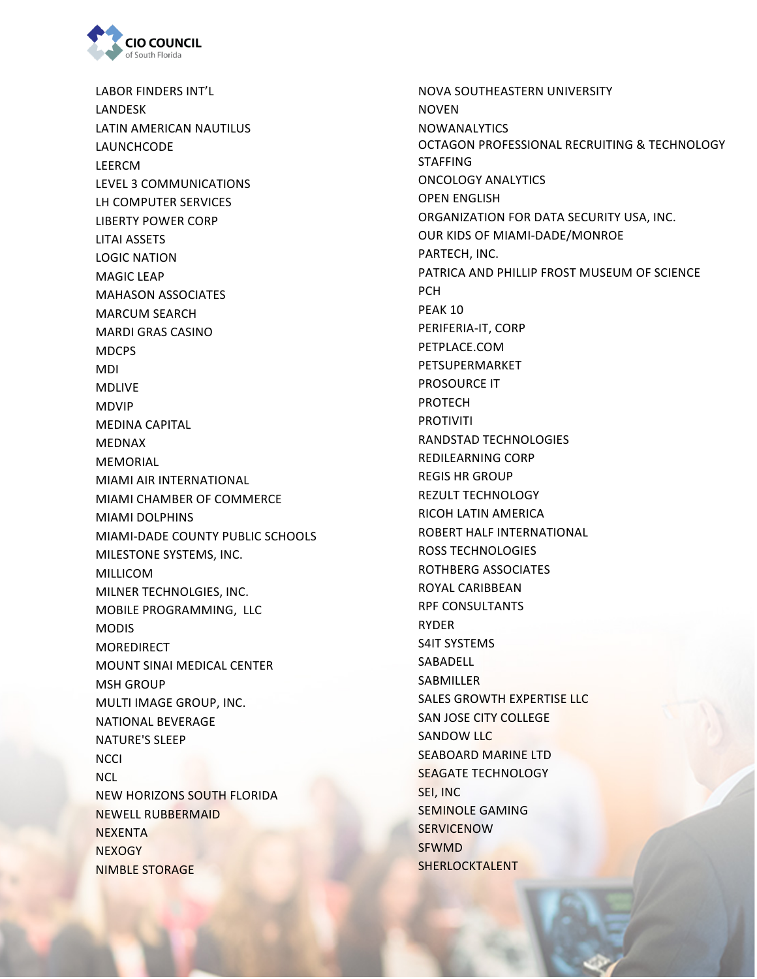

LABOR FINDERS INT'L LANDESK LATIN AMERICAN NAUTILUS LAUNCHCODE LEERCM LEVEL 3 COMMUNICATIONS LH COMPUTER SERVICES LIBERTY POWER CORP LITAI ASSETS LOGIC NATION **MAGIC LEAP MAHASON ASSOCIATES** MARCUM SEARCH **MARDI GRAS CASINO** MDCPS MDI MDLIVE MDVIP MEDINA CAPITAL MEDNAX MEMORIAL MIAMI AIR INTERNATIONAL **MIAMI CHAMBER OF COMMERCE MIAMI DOLPHINS** MIAMI-DADE COUNTY PUBLIC SCHOOLS MILESTONE SYSTEMS, INC. MILLICOM MILNER TECHNOLGIES, INC. MOBILE PROGRAMMING, LLC **MODIS** MOREDIRECT **MOUNT SINAI MEDICAL CENTER MSH GROUP** MULTI IMAGE GROUP, INC. NATIONAL BEVERAGE NATURE'S SLEEP **NCCI** NCL **NEW HORIZONS SOUTH FLORIDA NEWELL RUBBERMAID NEXENTA NEXOGY NIMBLE STORAGE** 

NOVA SOUTHEASTERN UNIVERSITY NOVEN NOWANALYTICS OCTAGON PROFESSIONAL RECRUITING & TECHNOLOGY STAFFING ONCOLOGY ANALYTICS **OPEN ENGLISH** ORGANIZATION FOR DATA SECURITY USA, INC. OUR KIDS OF MIAMI-DADE/MONROE PARTECH, INC. PATRICA AND PHILLIP FROST MUSEUM OF SCIENCE PCH PEAK 10 PERIFERIA-IT, CORP PETPLACE.COM PETSUPERMARKET PROSOURCE IT PROTECH PROTIVITI RANDSTAD TECHNOLOGIES REDILEARNING CORP **REGIS HR GROUP** REZULT TECHNOLOGY RICOH LATIN AMERICA ROBERT HALF INTERNATIONAL ROSS TECHNOLOGIES ROTHBERG ASSOCIATES ROYAL CARIBBEAN **RPF CONSULTANTS** RYDER S4IT SYSTEMS SABADELL **SABMILLER** SALES GROWTH EXPERTISE LLC SAN JOSE CITY COLLEGE SANDOW LLC **SEABOARD MARINE LTD** SEAGATE TECHNOLOGY SEI, INC **SEMINOLE GAMING SERVICENOW** SFWMD SHERLOCKTALENT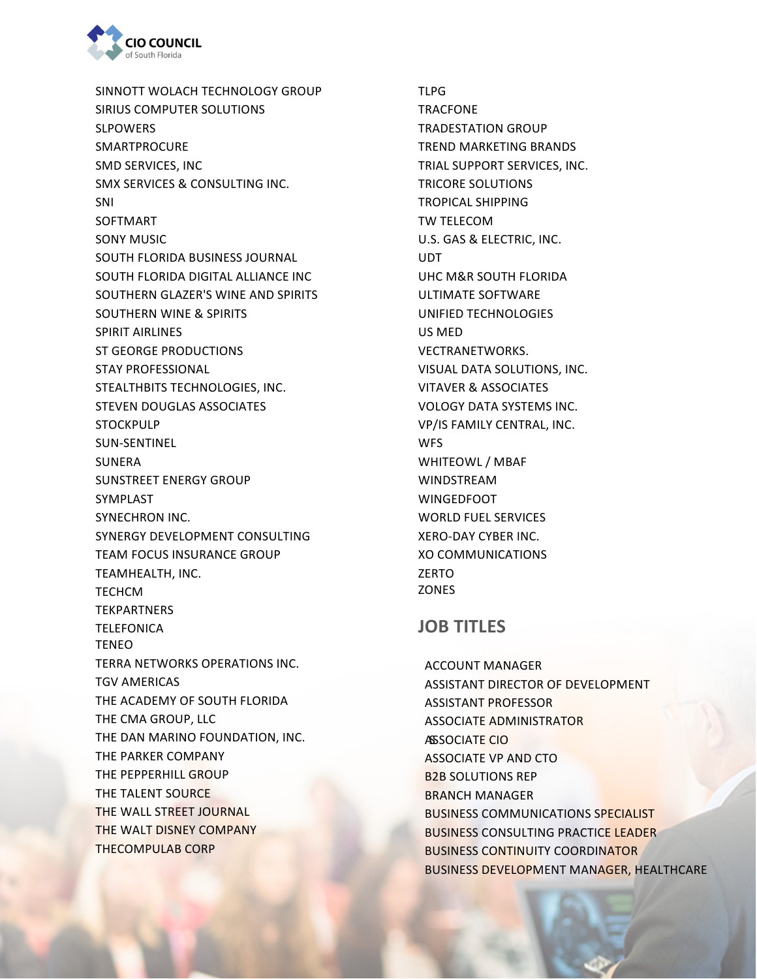

SINNOTT WOLACH TECHNOLOGY GROUP SIRIUS COMPUTER SOLUTIONS SLPOWERS SMARTPROCURE SMD SERVICES, INC SMX SERVICES & CONSULTING INC. SNI SOFTMART **SONY MUSIC** SOUTH FLORIDA BUSINESS JOURNAL SOUTH FLORIDA DIGITAL ALLIANCE INC SOUTHERN GLAZER'S WINE AND SPIRITS SOUTHERN WINE & SPIRITS SPIRIT AIRLINES ST GEORGE PRODUCTIONS STAY PROFESSIONAL STEALTHBITS TECHNOLOGIES, INC. STEVEN DOUGLAS ASSOCIATES STOCKPULP SUN-SENTINEL SUNERA SUNSTREET ENERGY GROUP SYMPLAST SYNECHRON INC. SYNERGY DEVELOPMENT CONSULTING **TEAM FOCUS INSURANCE GROUP** TEAMHEALTH, INC. **TECHCM TEKPARTNERS TELEFONICA** TENEO TERRA NETWORKS OPERATIONS INC. TGV AMERICAS THE ACADEMY OF SOUTH FLORIDA THE CMA GROUP, LLC THE DAN MARINO FOUNDATION, INC. THE PARKER COMPANY THE PEPPERHILL GROUP THE TALENT SOURCE. THE WALL STREET JOURNAL THE WALT DISNEY COMPANY THECOMPULAB CORP 

TLPG TRACFONE TRADESTATION GROUP TREND MARKETING BRANDS **TRIAL SUPPORT SERVICES, INC. TRICORE SOLUTIONS** TROPICAL SHIPPING TW TELECOM U.S. GAS & ELECTRIC, INC. UDT UHC M&R SOUTH FLORIDA ULTIMATE SOFTWARE UNIFIED TECHNOLOGIES US MED VECTRANETWORKS. VISUAL DATA SOLUTIONS, INC. VITAVER & ASSOCIATES VOLOGY DATA SYSTEMS INC. VP/IS FAMILY CENTRAL, INC. **WFS** WHITEOWL / MBAF WINDSTREAM WINGEDFOOT WORLD FUEL SERVICES XERO-DAY CYBER INC. **XO COMMUNICATIONS** ZERTO ZONES

## **JOB TITLES**

ASSOCIAT<mark>E CIO</mark> **ACCOUNT MANAGER** ASSISTANT DIRECTOR OF DEVELOPMENT ASSISTANT PROFESSOR ASSOCIATE ADMINISTRATOR ASSOCIATE VP AND CTO **B2B SOLUTIONS REP BRANCH MANAGER BUSINESS COMMUNICATIONS SPECIALIST BUSINESS CONSULTING PRACTICE LEADER BUSINESS CONTINUITY COORDINATOR** BUSINESS DEVELOPMENT MANAGER, HEALTHCARE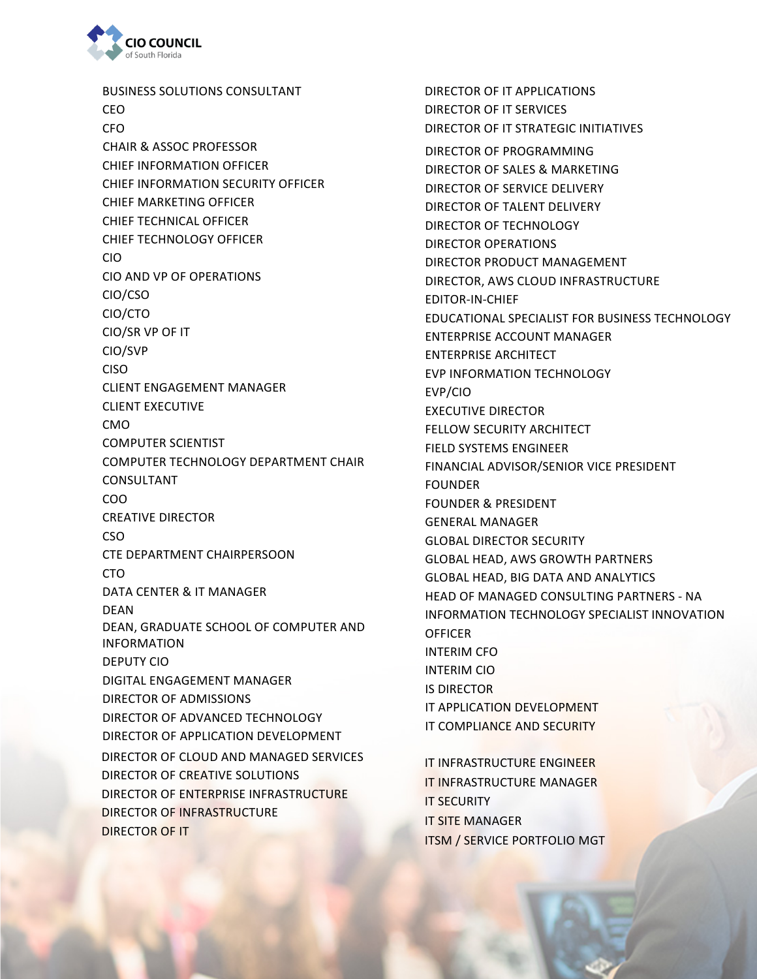

BUSINESS SOLUTIONS CONSULTANT CEO CFO CHIEF INFORMATION OFFICER CHIEF INFORMATION SECURITY OFFICER **CHIEF MARKETING OFFICER** CHIEF TECHNICAL OFFICER CHIEF TECHNOLOGY OFFICER CIO CIO AND VP OF OPERATIONS CIO/CSO CIO/CTO CIO/SR VP OF IT CIO/SVP CISO CLIENT ENGAGEMENT MANAGER **CLIENT EXECUTIVE** CMO COMPUTER SCIENTIST COMPUTER TECHNOLOGY DEPARTMENT CHAIR CONSULTANT COO **CREATIVE DIRECTOR** CSO CTE DEPARTMENT CHAIRPERSOON CTO DATA CENTER & IT MANAGER DEAN DEAN, GRADUATE SCHOOL OF COMPUTER AND INFORMATION DEPUTY CIO DIGITAL ENGAGEMENT MANAGER DIRECTOR OF ADMISSIONS DIRECTOR OF ADVANCED TECHNOLOGY DIRECTOR OF APPLICATION DEVELOPMENT DIRECTOR OF CLOUD AND MANAGED SERVICES DIRECTOR OF CREATIVE SOLUTIONS DIRECTOR OF ENTERPRISE INFRASTRUCTURE DIRECTOR OF INFRASTRUCTURE DIRECTOR OF IT CHAIR & ASSOC PROFESSOR DIRECTOR OF PROGRAMMING

DIRECTOR OF IT APPLICATIONS DIRECTOR OF IT SERVICES DIRECTOR OF IT STRATEGIC INITIATIVES DIRECTOR OF SALES & MARKETING DIRECTOR OF SERVICE DELIVERY DIRECTOR OF TALENT DELIVERY DIRECTOR OF TECHNOLOGY DIRECTOR OPERATIONS DIRECTOR PRODUCT MANAGEMENT DIRECTOR, AWS CLOUD INFRASTRUCTURE EDITOR-IN-CHIEF EDUCATIONAL SPECIALIST FOR BUSINESS TECHNOLOGY ENTERPRISE ACCOUNT MANAGER ENTERPRISE ARCHITECT EVP INFORMATION TECHNOLOGY EVP/CIO EXECUTIVE DIRECTOR FELLOW SECURITY ARCHITECT FIELD SYSTEMS ENGINEER FINANCIAL ADVISOR/SENIOR VICE PRESIDENT FOUNDER FOUNDER & PRESIDENT GENERAL MANAGER GLOBAL DIRECTOR SECURITY **GLOBAL HEAD, AWS GROWTH PARTNERS GLOBAL HEAD, BIG DATA AND ANALYTICS** HEAD OF MANAGED CONSULTING PARTNERS - NA INFORMATION TECHNOLOGY SPECIALIST INNOVATION **OFFICER** INTERIM CFO INTERIM CIO **IS DIRECTOR** IT APPLICATION DEVELOPMENT IT COMPLIANCE AND SECURITY IT INFRASTRUCTURE ENGINEER

**IT INFRASTRUCTURE MANAGER IT SECURITY IT SITE MANAGER ITSM / SERVICE PORTFOLIO MGT**